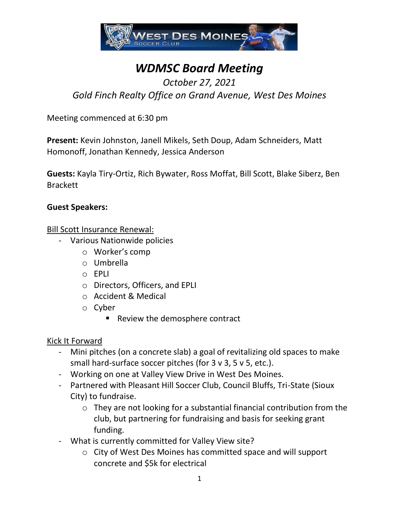

# *WDMSC Board Meeting*

# *October 27, 2021*

*Gold Finch Realty Office on Grand Avenue, West Des Moines*

Meeting commenced at 6:30 pm

**Present:** Kevin Johnston, Janell Mikels, Seth Doup, Adam Schneiders, Matt Homonoff, Jonathan Kennedy, Jessica Anderson

**Guests:** Kayla Tiry-Ortiz, Rich Bywater, Ross Moffat, Bill Scott, Blake Siberz, Ben Brackett

#### **Guest Speakers:**

#### Bill Scott Insurance Renewal:

- Various Nationwide policies
	- o Worker's comp
	- o Umbrella
	- o EPLI
	- o Directors, Officers, and EPLI
	- o Accident & Medical
	- o Cyber
		- Review the demosphere contract

# Kick It Forward

- Mini pitches (on a concrete slab) a goal of revitalizing old spaces to make small hard-surface soccer pitches (for 3 v 3, 5 v 5, etc.).
- Working on one at Valley View Drive in West Des Moines.
- Partnered with Pleasant Hill Soccer Club, Council Bluffs, Tri-State (Sioux City) to fundraise.
	- o They are not looking for a substantial financial contribution from the club, but partnering for fundraising and basis for seeking grant funding.
- What is currently committed for Valley View site?
	- o City of West Des Moines has committed space and will support concrete and \$5k for electrical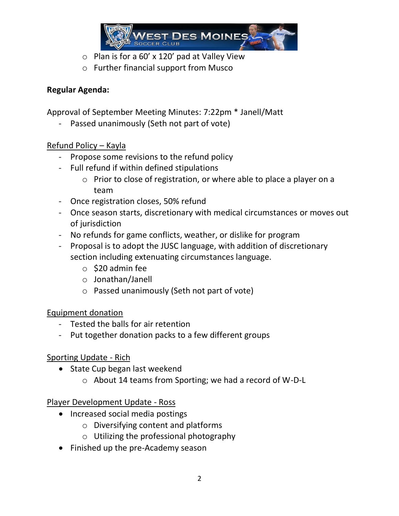

- $\circ$  Plan is for a 60' x 120' pad at Valley View
- o Further financial support from Musco

#### **Regular Agenda:**

Approval of September Meeting Minutes: 7:22pm \* Janell/Matt

Passed unanimously (Seth not part of vote)

# Refund Policy – Kayla

- Propose some revisions to the refund policy
- Full refund if within defined stipulations
	- o Prior to close of registration, or where able to place a player on a team
- Once registration closes, 50% refund
- Once season starts, discretionary with medical circumstances or moves out of jurisdiction
- No refunds for game conflicts, weather, or dislike for program
- Proposal is to adopt the JUSC language, with addition of discretionary section including extenuating circumstances language.
	- $\circ$  \$20 admin fee
	- o Jonathan/Janell
	- o Passed unanimously (Seth not part of vote)

# Equipment donation

- Tested the balls for air retention
- Put together donation packs to a few different groups

# Sporting Update - Rich

- State Cup began last weekend
	- o About 14 teams from Sporting; we had a record of W-D-L

# Player Development Update - Ross

- Increased social media postings
	- o Diversifying content and platforms
	- o Utilizing the professional photography
- Finished up the pre-Academy season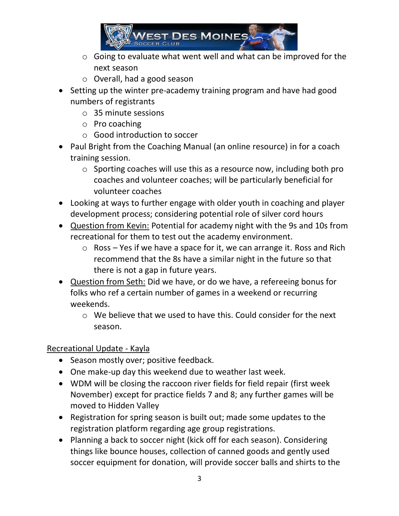

- o Going to evaluate what went well and what can be improved for the next season
- o Overall, had a good season
- Setting up the winter pre-academy training program and have had good numbers of registrants
	- o 35 minute sessions
	- o Pro coaching
	- o Good introduction to soccer
- Paul Bright from the Coaching Manual (an online resource) in for a coach training session.
	- o Sporting coaches will use this as a resource now, including both pro coaches and volunteer coaches; will be particularly beneficial for volunteer coaches
- Looking at ways to further engage with older youth in coaching and player development process; considering potential role of silver cord hours
- Question from Kevin: Potential for academy night with the 9s and 10s from recreational for them to test out the academy environment.
	- $\circ$  Ross Yes if we have a space for it, we can arrange it. Ross and Rich recommend that the 8s have a similar night in the future so that there is not a gap in future years.
- Question from Seth: Did we have, or do we have, a refereeing bonus for folks who ref a certain number of games in a weekend or recurring weekends.
	- $\circ$  We believe that we used to have this. Could consider for the next season.

Recreational Update - Kayla

- Season mostly over; positive feedback.
- One make-up day this weekend due to weather last week.
- WDM will be closing the raccoon river fields for field repair (first week November) except for practice fields 7 and 8; any further games will be moved to Hidden Valley
- Registration for spring season is built out; made some updates to the registration platform regarding age group registrations.
- Planning a back to soccer night (kick off for each season). Considering things like bounce houses, collection of canned goods and gently used soccer equipment for donation, will provide soccer balls and shirts to the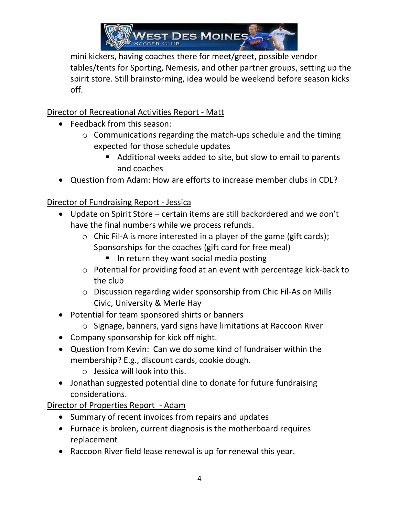

mini kickers, having coaches there for meet/greet, possible vendor tables/tents for Sporting, Nemesis, and other partner groups, setting up the spirit store. Still brainstorming, idea would be weekend before season kicks off.

Director of Recreational Activities Report - Matt

- Feedback from this season:
	- o Communications regarding the match-ups schedule and the timing expected for those schedule updates
		- Additional weeks added to site, but slow to email to parents and coaches
- Question from Adam: How are efforts to increase member clubs in CDL?

Director of Fundraising Report - Jessica

- Update on Spirit Store certain items are still backordered and we don't have the final numbers while we process refunds.
	- $\circ$  Chic Fil-A is more interested in a player of the game (gift cards); Sponsorships for the coaches (gift card for free meal)
		- In return they want social media posting
	- o Potential for providing food at an event with percentage kick-back to the club
	- o Discussion regarding wider sponsorship from Chic Fil-As on Mills Civic, University & Merle Hay
- Potential for team sponsored shirts or banners
	- o Signage, banners, yard signs have limitations at Raccoon River
- Company sponsorship for kick off night.
- Question from Kevin: Can we do some kind of fundraiser within the membership? E.g., discount cards, cookie dough.
	- $\circ$  Jessica will look into this.
- Jonathan suggested potential dine to donate for future fundraising considerations.

Director of Properties Report - Adam

- Summary of recent invoices from repairs and updates
- Furnace is broken, current diagnosis is the motherboard requires replacement
- Raccoon River field lease renewal is up for renewal this year.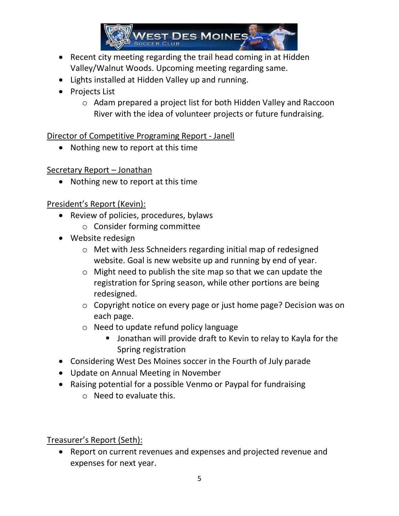

- Recent city meeting regarding the trail head coming in at Hidden Valley/Walnut Woods. Upcoming meeting regarding same.
- Lights installed at Hidden Valley up and running.
- Projects List
	- o Adam prepared a project list for both Hidden Valley and Raccoon River with the idea of volunteer projects or future fundraising.

Director of Competitive Programing Report - Janell

• Nothing new to report at this time

Secretary Report – Jonathan

• Nothing new to report at this time

President's Report (Kevin):

- Review of policies, procedures, bylaws
	- o Consider forming committee
- Website redesign
	- o Met with Jess Schneiders regarding initial map of redesigned website. Goal is new website up and running by end of year.
	- $\circ$  Might need to publish the site map so that we can update the registration for Spring season, while other portions are being redesigned.
	- o Copyright notice on every page or just home page? Decision was on each page.
	- o Need to update refund policy language
		- Jonathan will provide draft to Kevin to relay to Kayla for the Spring registration
- Considering West Des Moines soccer in the Fourth of July parade
- Update on Annual Meeting in November
- Raising potential for a possible Venmo or Paypal for fundraising
	- o Need to evaluate this.

Treasurer's Report (Seth):

• Report on current revenues and expenses and projected revenue and expenses for next year.